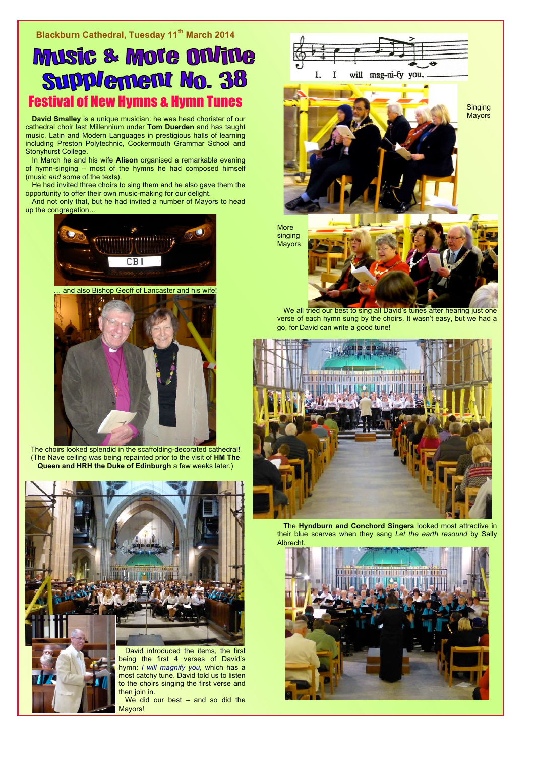## **Blackburn Cathedral, Tuesday 11th March 2014**

## **Music & Mote ONINe Supplement No. 38** Festival of New Hymns & Hymn Tunes

**David Smalley** is a unique musician: he was head chorister of our cathedral choir last Millennium under **Tom Duerden** and has taught music, Latin and Modern Languages in prestigious halls of learning including Preston Polytechnic, Cockermouth Grammar School and Stonyhurst College.

In March he and his wife **Alison** organised a remarkable evening of hymn-singing – most of the hymns he had composed himself (music *and* some of the texts).

He had invited three choirs to sing them and he also gave them the opportunity to offer their own music-making for our delight.

And not only that, but he had invited a number of Mayors to head up the congregation…





The choirs looked splendid in the scaffolding-decorated cathedral! (The Nave ceiling was being repainted prior to the visit of **HM The Queen and HRH the Duke of Edinburgh** a few weeks later.)



hymn: *I will magnify you,* which has a most catchy tune. David told us to listen to the choirs singing the first verse and then join in.

We did our best – and so did the Mayors!



singing Mayors



We all tried our best to sing all David's tunes after hearing just one verse of each hymn sung by the choirs. It wasn't easy, but we had a go, for David can write a good tune!



The **Hyndburn and Conchord Singers** looked most attractive in their blue scarves when they sang *Let the earth resound* by Sally Albrecht*.*